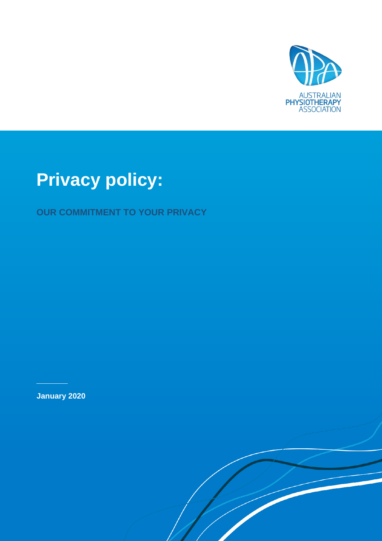

# **Privacy policy:**

**OUR COMMITMENT TO YOUR PRIVACY**

**January 2020**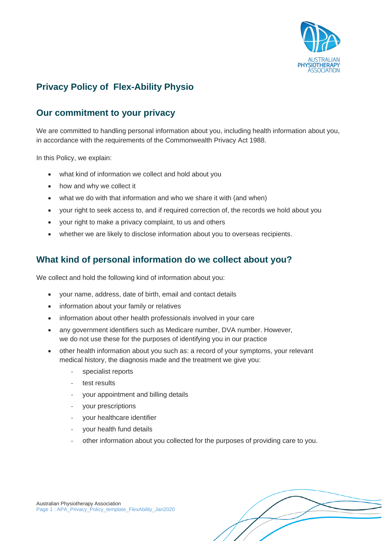

# **Privacy Policy of Flex-Ability Physio**

## **Our commitment to your privacy**

We are committed to handling personal information about you, including health information about you, in accordance with the requirements of the Commonwealth Privacy Act 1988.

In this Policy, we explain:

- what kind of information we collect and hold about you
- how and why we collect it
- what we do with that information and who we share it with (and when)
- your right to seek access to, and if required correction of, the records we hold about you
- your right to make a privacy complaint, to us and others
- whether we are likely to disclose information about you to overseas recipients.

#### **What kind of personal information do we collect about you?**

We collect and hold the following kind of information about you:

- your name, address, date of birth, email and contact details
- information about your family or relatives
- information about other health professionals involved in your care
- any government identifiers such as Medicare number, DVA number. However, we do not use these for the purposes of identifying you in our practice
- other health information about you such as: a record of your symptoms, your relevant medical history, the diagnosis made and the treatment we give you:
	- specialist reports
	- test results
	- your appointment and billing details
	- your prescriptions
	- your healthcare identifier
	- your health fund details
	- other information about you collected for the purposes of providing care to you.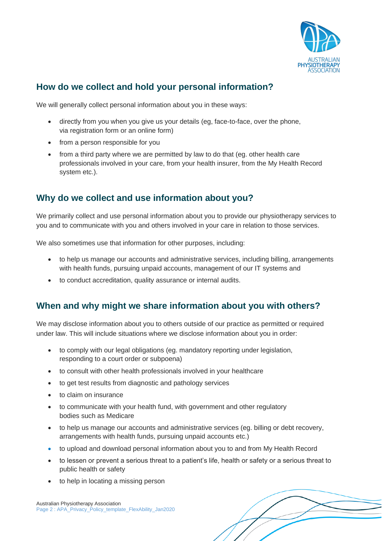

## **How do we collect and hold your personal information?**

We will generally collect personal information about you in these ways:

- directly from you when you give us your details (eg, face-to-face, over the phone, via registration form or an online form)
- from a person responsible for you
- from a third party where we are permitted by law to do that (eg. other health care professionals involved in your care, from your health insurer, from the My Health Record system etc.).

#### **Why do we collect and use information about you?**

We primarily collect and use personal information about you to provide our physiotherapy services to you and to communicate with you and others involved in your care in relation to those services.

We also sometimes use that information for other purposes, including:

- to help us manage our accounts and administrative services, including billing, arrangements with health funds, pursuing unpaid accounts, management of our IT systems and
- to conduct accreditation, quality assurance or internal audits.

#### **When and why might we share information about you with others?**

We may disclose information about you to others outside of our practice as permitted or required under law. This will include situations where we disclose information about you in order:

- to comply with our legal obligations (eg. mandatory reporting under legislation, responding to a court order or subpoena)
- to consult with other health professionals involved in your healthcare
- to get test results from diagnostic and pathology services
- to claim on insurance
- to communicate with your health fund, with government and other regulatory bodies such as Medicare
- to help us manage our accounts and administrative services (eg. billing or debt recovery, arrangements with health funds, pursuing unpaid accounts etc.)
- to upload and download personal information about you to and from My Health Record
- to lessen or prevent a serious threat to a patient's life, health or safety or a serious threat to public health or safety
- to help in locating a missing person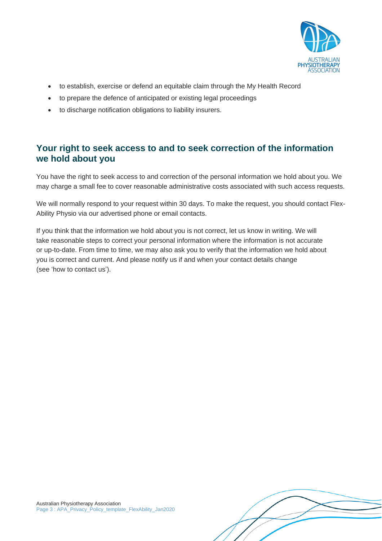

- to establish, exercise or defend an equitable claim through the My Health Record
- to prepare the defence of anticipated or existing legal proceedings
- to discharge notification obligations to liability insurers.

#### **Your right to seek access to and to seek correction of the information we hold about you**

You have the right to seek access to and correction of the personal information we hold about you. We may charge a small fee to cover reasonable administrative costs associated with such access requests.

We will normally respond to your request within 30 days. To make the request, you should contact Flex-Ability Physio via our advertised phone or email contacts.

If you think that the information we hold about you is not correct, let us know in writing. We will take reasonable steps to correct your personal information where the information is not accurate or up-to-date. From time to time, we may also ask you to verify that the information we hold about you is correct and current. And please notify us if and when your contact details change (see 'how to contact us').

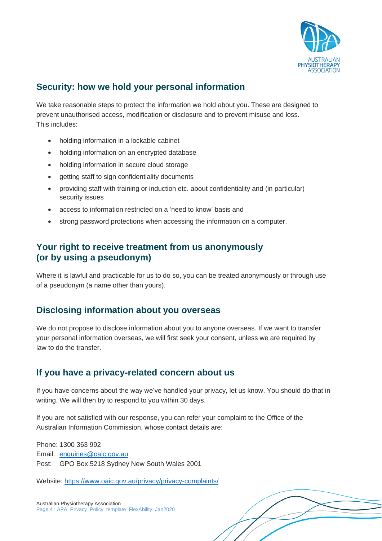

## **Security: how we hold your personal information**

We take reasonable steps to protect the information we hold about you. These are designed to prevent unauthorised access, modification or disclosure and to prevent misuse and loss. This includes:

- holding information in a lockable cabinet
- holding information on an encrypted database
- holding information in secure cloud storage
- getting staff to sign confidentiality documents
- providing staff with training or induction etc. about confidentiality and (in particular) security issues
- access to information restricted on a 'need to know' basis and
- strong password protections when accessing the information on a computer.

#### **Your right to receive treatment from us anonymously (or by using a pseudonym)**

Where it is lawful and practicable for us to do so, you can be treated anonymously or through use of a pseudonym (a name other than yours).

#### **Disclosing information about you overseas**

We do not propose to disclose information about you to anyone overseas. If we want to transfer your personal information overseas, we will first seek your consent, unless we are required by law to do the transfer.

#### **If you have a privacy-related concern about us**

If you have concerns about the way we've handled your privacy, let us know. You should do that in writing. We will then try to respond to you within 30 days.

If you are not satisfied with our response, you can refer your complaint to the Office of the Australian Information Commission, whose contact details are:

Phone: 1300 363 992 Email: [enquiries@oaic.gov.au](mailto:enquiries@oaic.gov.au) Post: GPO Box 5218 Sydney New South Wales 2001

Website:<https://www.oaic.gov.au/privacy/privacy-complaints/>